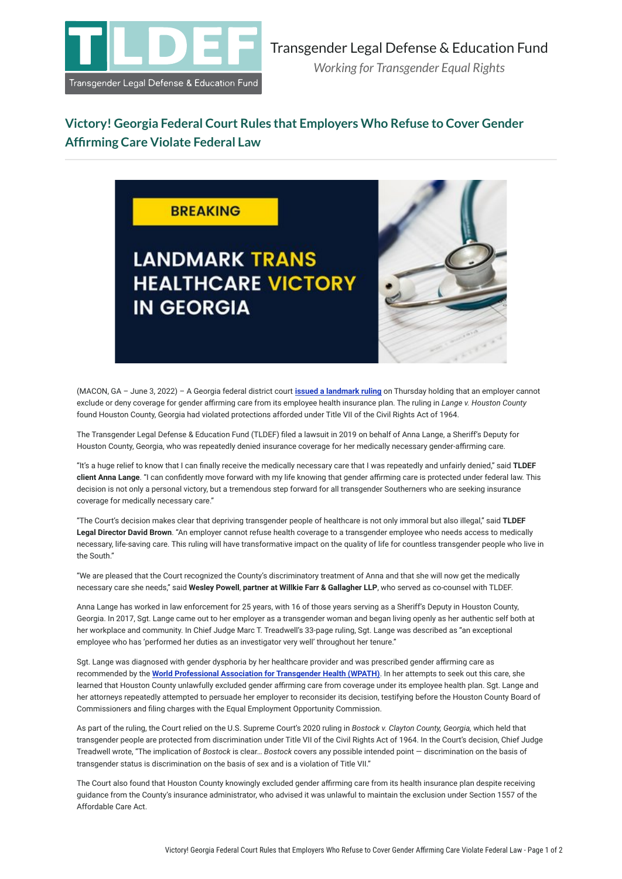

## **Victory! Georgia Federal Court Rules that Employers Who Refuse to Cover Gender Affirming Care Violate Federal Law**



(MACON, GA – June 3, 2022) – A Georgia federal district court **[issued a landmark ruling](https://transgenderlegal.org/documents/89/Case_519-cv-00392-MTT_-_Lange_v._Houston_County.pdf)** on Thursday holding that an employer cannot exclude or deny coverage for gender affirming care from its employee health insurance plan. The ruling in *Lange v. Houston County* found Houston County, Georgia had violated protections afforded under Title VII of the Civil Rights Act of 1964.

The Transgender Legal Defense & Education Fund (TLDEF) filed a lawsuit in 2019 on behalf of Anna Lange, a Sheriff's Deputy for Houston County, Georgia, who was repeatedly denied insurance coverage for her medically necessary gender-affirming care.

"It's a huge relief to know that I can finally receive the medically necessary care that I was repeatedly and unfairly denied," said **TLDEF client Anna Lange**. "I can confidently move forward with my life knowing that gender affirming care is protected under federal law. This decision is not only a personal victory, but a tremendous step forward for all transgender Southerners who are seeking insurance coverage for medically necessary care."

"The Court's decision makes clear that depriving transgender people of healthcare is not only immoral but also illegal," said **TLDEF Legal Director David Brown**. "An employer cannot refuse health coverage to a transgender employee who needs access to medically necessary, life-saving care. This ruling will have transformative impact on the quality of life for countless transgender people who live in the South."

"We are pleased that the Court recognized the County's discriminatory treatment of Anna and that she will now get the medically necessary care she needs," said **Wesley Powell**, **partner at Willkie Farr & Gallagher LLP**, who served as co-counsel with TLDEF.

Anna Lange has worked in law enforcement for 25 years, with 16 of those years serving as a Sheriff's Deputy in Houston County, Georgia. In 2017, Sgt. Lange came out to her employer as a transgender woman and began living openly as her authentic self both at her workplace and community. In Chief Judge Marc T. Treadwell's 33-page ruling, Sgt. Lange was described as "an exceptional employee who has 'performed her duties as an investigator very well' throughout her tenure."

Sgt. Lange was diagnosed with gender dysphoria by her healthcare provider and was prescribed gender affirming care as recommended by the **[World Professional Association for Transgender Health \(WPATH\)](https://www.wpath.org/publications/soc)**. In her attempts to seek out this care, she learned that Houston County unlawfully excluded gender affirming care from coverage under its employee health plan. Sgt. Lange and her attorneys repeatedly attempted to persuade her employer to reconsider its decision, testifying before the Houston County Board of Commissioners and filing charges with the Equal Employment Opportunity Commission.

As part of the ruling, the Court relied on the U.S. Supreme Court's 2020 ruling in *Bostock v. Clayton County, Georgia,* which held that transgender people are protected from discrimination under Title VII of the Civil Rights Act of 1964. In the Court's decision, Chief Judge Treadwell wrote, "The implication of *Bostock* is clear… *Bostock* covers any possible intended point — discrimination on the basis of transgender status is discrimination on the basis of sex and is a violation of Title VII."

The Court also found that Houston County knowingly excluded gender affirming care from its health insurance plan despite receiving guidance from the County's insurance administrator, who advised it was unlawful to maintain the exclusion under Section 1557 of the Affordable Care Act.